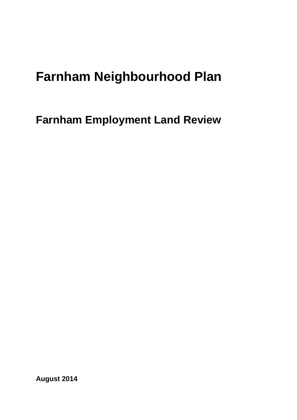# **Farnham Neighbourhood Plan**

**Farnham Employment Land Review**

**August 2014**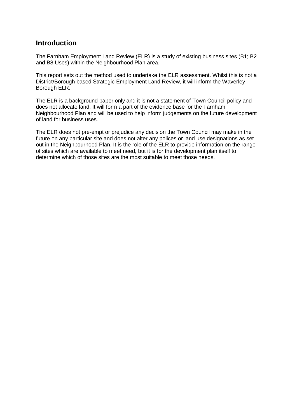### **Introduction**

The Farnham Employment Land Review (ELR) is a study of existing business sites (B1; B2 and B8 Uses) within the Neighbourhood Plan area.

This report sets out the method used to undertake the ELR assessment. Whilst this is not a District/Borough based Strategic Employment Land Review, it will inform the Waverley Borough ELR.

The ELR is a background paper only and it is not a statement of Town Council policy and does not allocate land. It will form a part of the evidence base for the Farnham Neighbourhood Plan and will be used to help inform judgements on the future development of land for business uses.

The ELR does not pre-empt or prejudice any decision the Town Council may make in the future on any particular site and does not alter any polices or land use designations as set out in the Neighbourhood Plan. It is the role of the ELR to provide information on the range of sites which are available to meet need, but it is for the development plan itself to determine which of those sites are the most suitable to meet those needs.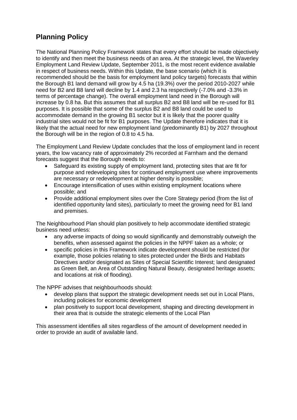## **Planning Policy**

The National Planning Policy Framework states that every effort should be made objectively to identify and then meet the business needs of an area. At the strategic level, the Waverley Employment Land Review Update, September 2011, is the most recent evidence available in respect of business needs. Within this Update, the base scenario (which it is recommended should be the basis for employment land policy targets) forecasts that within the Borough B1 land demand will grow by 4.5 ha (19.3%) over the period 2010-2027 while need for B2 and B8 land will decline by 1.4 and 2.3 ha respectively (-7.0% and -3.3% in terms of percentage change). The overall employment land need in the Borough will increase by 0.8 ha. But this assumes that all surplus B2 and B8 land will be re-used for B1 purposes. It is possible that some of the surplus B2 and B8 land could be used to accommodate demand in the growing B1 sector but it is likely that the poorer quality industrial sites would not be fit for B1 purposes. The Update therefore indicates that it is likely that the actual need for new employment land (predominantly B1) by 2027 throughout the Borough will be in the region of 0.8 to 4.5 ha.

The Employment Land Review Update concludes that the loss of employment land in recent years, the low vacancy rate of approximately 2% recorded at Farnham and the demand forecasts suggest that the Borough needs to:

- Safeguard its existing supply of employment land, protecting sites that are fit for purpose and redeveloping sites for continued employment use where improvements are necessary or redevelopment at higher density is possible;
- Encourage intensification of uses within existing employment locations where possible; and
- Provide additional employment sites over the Core Strategy period (from the list of identified opportunity land sites), particularly to meet the growing need for B1 land and premises.

The Neighbourhood Plan should plan positively to help accommodate identified strategic business need unless:

- any adverse impacts of doing so would significantly and demonstrably outweigh the benefits, when assessed against the policies in the NPPF taken as a whole; or
- specific policies in this Framework indicate development should be restricted (for example, those policies relating to sites protected under the Birds and Habitats Directives and/or designated as Sites of Special Scientific Interest; land designated as Green Belt, an Area of Outstanding Natural Beauty, designated heritage assets; and locations at risk of flooding).

The NPPF advises that neighbourhoods should:

- develop plans that support the strategic development needs set out in Local Plans, including policies for economic development
- plan positively to support local development, shaping and directing development in their area that is outside the strategic elements of the Local Plan

This assessment identifies all sites regardless of the amount of development needed in order to provide an audit of available land.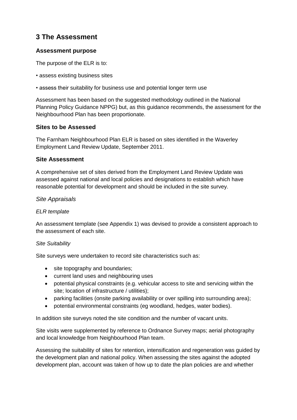## **3 The Assessment**

#### **Assessment purpose**

The purpose of the ELR is to:

- assess existing business sites
- assess their suitability for business use and potential longer term use

Assessment has been based on the suggested methodology outlined in the National Planning Policy Guidance NPPG) but, as this guidance recommends, the assessment for the Neighbourhood Plan has been proportionate.

#### **Sites to be Assessed**

The Farnham Neighbourhood Plan ELR is based on sites identified in the Waverley Employment Land Review Update, September 2011.

#### **Site Assessment**

A comprehensive set of sites derived from the Employment Land Review Update was assessed against national and local policies and designations to establish which have reasonable potential for development and should be included in the site survey.

#### *Site Appraisals*

#### *ELR template*

An assessment template (see Appendix 1) was devised to provide a consistent approach to the assessment of each site.

#### *Site Suitability*

Site surveys were undertaken to record site characteristics such as:

- site topography and boundaries;
- current land uses and neighbouring uses
- potential physical constraints (e.g. vehicular access to site and servicing within the site; location of infrastructure / utilities);
- parking facilities (onsite parking availability or over spilling into surrounding area);
- potential environmental constraints (eg woodland, hedges, water bodies).

In addition site surveys noted the site condition and the number of vacant units.

Site visits were supplemented by reference to Ordnance Survey maps; aerial photography and local knowledge from Neighbourhood Plan team.

Assessing the suitability of sites for retention, intensification and regeneration was guided by the development plan and national policy. When assessing the sites against the adopted development plan, account was taken of how up to date the plan policies are and whether